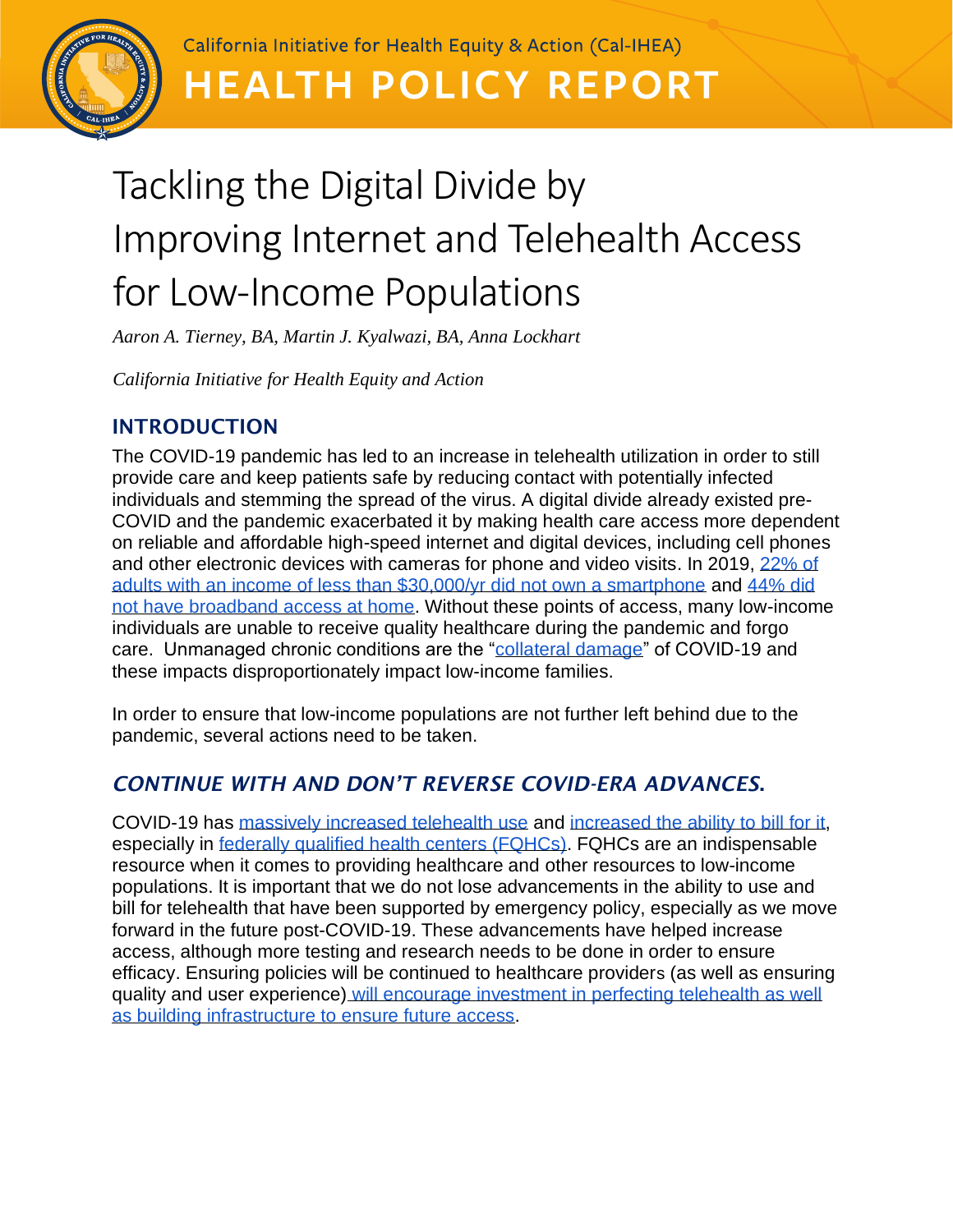

California Initiative for Health Equity & Action (Cal-IHEA) **HEALTH POLICY REPORT** 

# Tackling the Digital Divide by Improving Internet and Telehealth Access for Low-Income Populations

*Aaron A. Tierney, BA, Martin J. Kyalwazi, BA, Anna Lockhart*

*California Initiative for Health Equity and Action*

## INTRODUCTION

The COVID-19 pandemic has led to an increase in telehealth utilization in order to still provide care and keep patients safe by reducing contact with potentially infected individuals and stemming the spread of the virus. A digital divide already existed pre-COVID and the pandemic exacerbated it by making health care access more dependent on reliable and affordable high-speed internet and digital devices, including cell phones and other electronic devices with cameras for phone and video visits. In 2019, [22% of](https://www.pewresearch.org/internet/fact-sheet/mobile/)  [adults with an income of less than \\$30,000/yr did not own a smartphone](https://www.pewresearch.org/internet/fact-sheet/mobile/) and [44% did](https://www.pewresearch.org/internet/fact-sheet/internet-broadband/)  [not have broadband access at home.](https://www.pewresearch.org/internet/fact-sheet/internet-broadband/) Without these points of access, many low-income individuals are unable to receive quality healthcare during the pandemic and forgo care. Unmanaged chronic conditions are the ["collateral damage"](https://blogs.scientificamerican.com/observations/the-fight-against-covid-19-threatens-to-cause-collateral-health-damage/) of COVID-19 and these impacts disproportionately impact low-income families.

In order to ensure that low-income populations are not further left behind due to the pandemic, several actions need to be taken.

# *CONTINUE WITH AND DON'T REVERSE COVID-ERA ADVANCES*.

COVID-19 has [massively increased telehealth use](https://aspe.hhs.gov/system/files/pdf/263866/HP_IssueBrief_MedicareTelehealth_final7.29.20.pdf) and [increased the ability to bill for it,](https://www.ama-assn.org/system/files/2020-05/covid-19-coding-advice.pdf) especially in [federally qualified health centers \(FQHCs\).](https://www.hrsa.gov/opa/eligibility-and-registration/health-centers/fqhc/index.html) FQHCs are an indispensable resource when it comes to providing healthcare and other resources to low-income populations. It is important that we do not lose advancements in the ability to use and bill for telehealth that have been supported by emergency policy, especially as we move forward in the future post-COVID-19. These advancements have helped increase access, although more testing and research needs to be done in order to ensure efficacy. Ensuring policies will be continued to healthcare providers (as well as ensuring quality and user experience) [will encourage investment in perfecting telehealth as well](https://www.healthaffairs.org/do/10.1377/hblog20200810.737666/full/)  [as building infrastructure to ensure future access.](https://www.healthaffairs.org/do/10.1377/hblog20200810.737666/full/)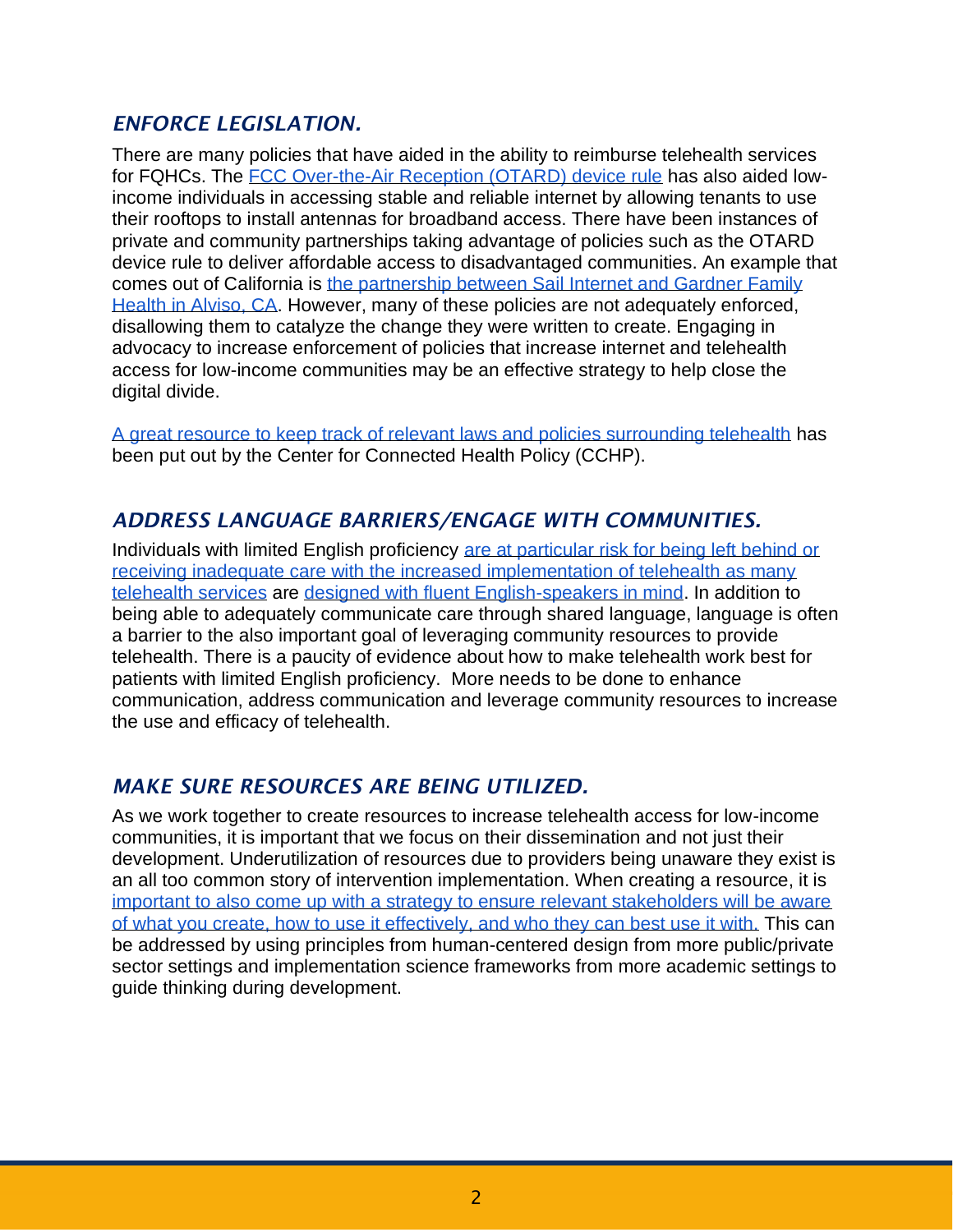## *ENFORCE LEGISLATION.*

There are many policies that have aided in the ability to reimburse telehealth services for FQHCs. The [FCC Over-the-Air Reception \(OTARD\) device rule](https://www.fcc.gov/media/over-air-reception-devices-rule) has also aided lowincome individuals in accessing stable and reliable internet by allowing tenants to use their rooftops to install antennas for broadband access. There have been instances of private and community partnerships taking advantage of policies such as the OTARD device rule to deliver affordable access to disadvantaged communities. An example that comes out of California is [the partnership between Sail Internet and Gardner Family](https://www.businesswire.com/news/home/20200413005035/en/Sail-Internet-Gardner-Family-Health-Collaborate-Address)  [Health in Alviso, CA.](https://www.businesswire.com/news/home/20200413005035/en/Sail-Internet-Gardner-Family-Health-Collaborate-Address) However, many of these policies are not adequately enforced, disallowing them to catalyze the change they were written to create. Engaging in advocacy to increase enforcement of policies that increase internet and telehealth access for low-income communities may be an effective strategy to help close the digital divide.

[A great resource to keep track of relevant laws and policies surrounding telehealth](https://www.cchpca.org/) has been put out by the Center for Connected Health Policy (CCHP).

## *ADDRESS LANGUAGE BARRIERS/ENGAGE WITH COMMUNITIES.*

Individuals with limited English proficiency [are at particular risk for being left behind or](https://catalyst.nejm.org/doi/full/10.1056/CAT.20.0123)  [receiving inadequate care with the increased implementation of telehealth as many](https://catalyst.nejm.org/doi/full/10.1056/CAT.20.0123)  [telehealth services](https://catalyst.nejm.org/doi/full/10.1056/CAT.20.0123) are [designed with fluent English-speakers in mind.](https://www.theverge.com/21277936/telehealth-english-systems-disparities-interpreters-online-doctor-appointments) In addition to being able to adequately communicate care through shared language, language is often a barrier to the also important goal of leveraging community resources to provide telehealth. There is a paucity of evidence about how to make telehealth work best for patients with limited English proficiency. More needs to be done to enhance communication, address communication and leverage community resources to increase the use and efficacy of telehealth.

#### *MAKE SURE RESOURCES ARE BEING UTILIZED.*

As we work together to create resources to increase telehealth access for low-income communities, it is important that we focus on their dissemination and not just their development. Underutilization of resources due to providers being unaware they exist is an all too common story of intervention implementation. When creating a resource, it is [important to also come up with a strategy to ensure relevant stakeholders will be aware](https://link.springer.com/article/10.1007/s11897-013-0140-1)  [of what you create, how to use it effectively, and who they can best use it with.](https://link.springer.com/article/10.1007/s11897-013-0140-1) This can be addressed by using principles from human-centered design from more public/private sector settings and implementation science frameworks from more academic settings to guide thinking during development.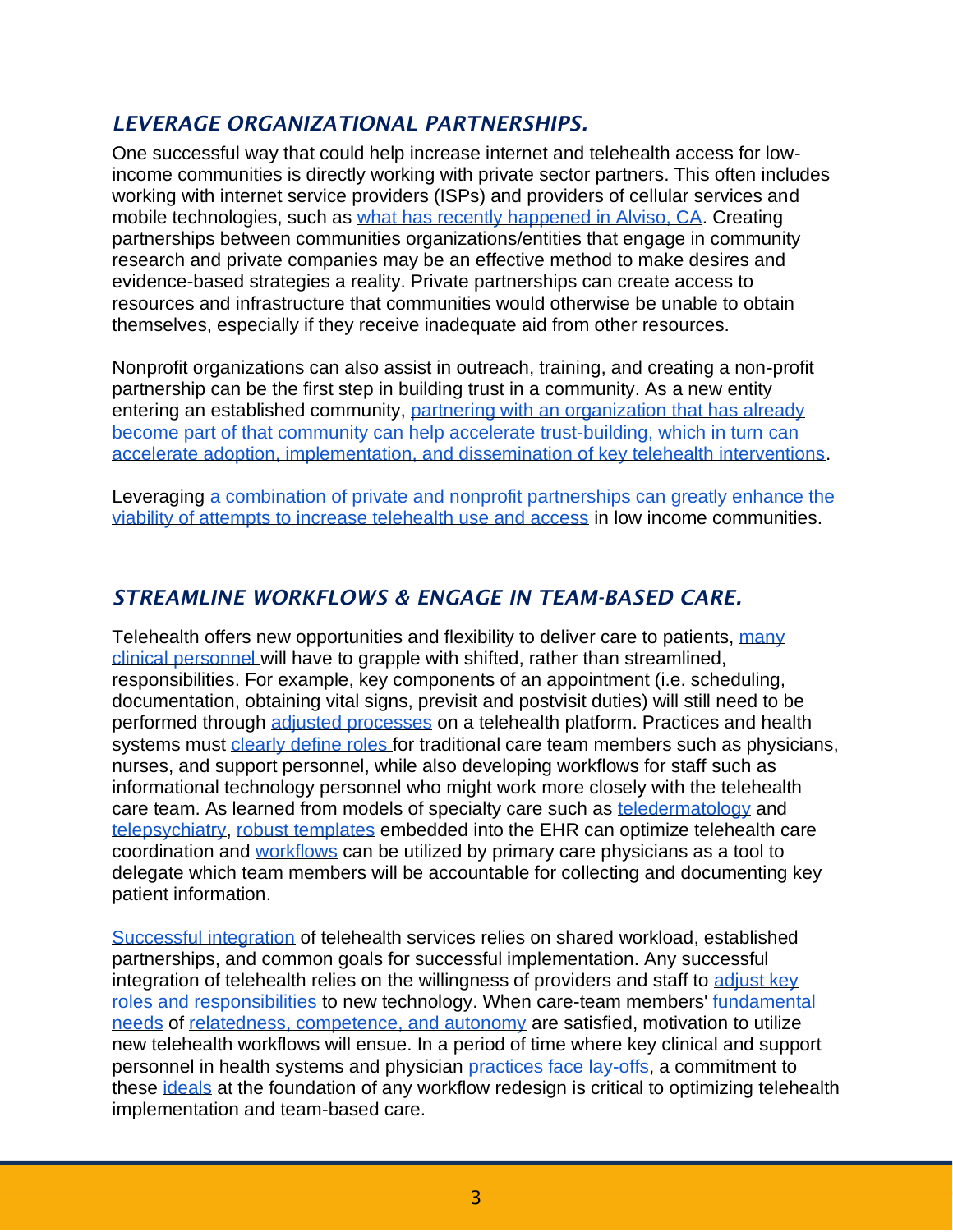## *LEVERAGE ORGANIZATIONAL PARTNERSHIPS.*

One successful way that could help increase internet and telehealth access for lowincome communities is directly working with private sector partners. This often includes working with internet service providers (ISPs) and providers of cellular services and mobile technologies, such as [what has recently happened in Alviso, CA.](https://www.businesswire.com/news/home/20200413005035/en/Sail-Internet-Gardner-Family-Health-Collaborate-Address) Creating partnerships between communities organizations/entities that engage in community research and private companies may be an effective method to make desires and evidence-based strategies a reality. Private partnerships can create access to resources and infrastructure that communities would otherwise be unable to obtain themselves, especially if they receive inadequate aid from other resources.

Nonprofit organizations can also assist in outreach, training, and creating a non-profit partnership can be the first step in building trust in a community. As a new entity entering an established community, [partnering with an organization that has already](https://journals.sagepub.com/doi/full/10.1177/0033354917742127)  [become part of that community can help accelerate trust-building, which in turn can](https://journals.sagepub.com/doi/full/10.1177/0033354917742127)  [accelerate adoption, implementation, and dissemination of key telehealth interventions.](https://journals.sagepub.com/doi/full/10.1177/0033354917742127)

Leveraging [a combination of private and nonprofit partnerships can greatly enhance the](https://www.annualreviews.org/doi/full/10.1146/annurev.publhealth.21.1.369)  [viability of attempts to increase telehealth use and access](https://www.annualreviews.org/doi/full/10.1146/annurev.publhealth.21.1.369) in low income communities.

### *STREAMLINE WORKFLOWS & ENGAGE IN TEAM-BASED CARE.*

Telehealth offers new opportunities and flexibility to deliver care to patients, many [clinical personnel w](https://www.ncbi.nlm.nih.gov/pmc/articles/PMC7273942/)ill have to grapple with shifted, rather than streamlined, responsibilities. For example, key components of an appointment (i.e. scheduling, documentation, obtaining vital signs, previsit and postvisit duties) will still need to be performed through [adjusted processes](https://www.ama-assn.org/system/files/2020-04/ama-telehealth-implementation-playbook.pdf) on a telehealth platform. Practices and health systems must [clearly define roles f](https://www.ruralhealthinfo.org/toolkits/telehealth/4/mapping-workflow)or traditional care team members such as physicians, nurses, and support personnel, while also developing workflows for staff such as informational technology personnel who might work more closely with the telehealth care team. As learned from models of specialty care such as [teledermatology](https://pubmed.ncbi.nlm.nih.gov/32588723/) and [telepsychiatry, robust templates](https://www.ncbi.nlm.nih.gov/pmc/articles/PMC7327290/) embedded into the EHR can optimize telehealth care coordination and [workflows](https://www.careinnovations.org/wp-content/uploads/workflow-Chapa-de-and-Riverside-Indian-Health-Feb-2018.pdf) can be utilized by primary care physicians as a tool to delegate which team members will be accountable for collecting and documenting key patient information.

[Successful integration](https://pubmed.ncbi.nlm.nih.gov/32588723/) of telehealth services relies on shared workload, established partnerships, and common goals for successful implementation. Any successful integration of telehealth relies on the willingness of providers and staff to adjust key [roles and responsibilities](https://pubmed.ncbi.nlm.nih.gov/31518266/) to new technology. When care-team members' [fundamental](https://pubmed.ncbi.nlm.nih.gov/31518266/)  [needs](https://pubmed.ncbi.nlm.nih.gov/31518266/) of [relatedness, competence, and autonomy](https://dx.doi.org/10.1111%2Fj.1559-1816.2000.tb02471.x) are satisfied, motivation to utilize new telehealth workflows will ensue. In a period of time where key clinical and support personnel in health systems and physician [practices face lay-offs,](https://revcycleintelligence.com/news/layoffs-continue-as-primary-care-braces-for-return-to-pre-covid-pay) a commitment to these [ideals](https://dx.doi.org/10.1111%2Fj.1559-1816.2000.tb02471.x) at the foundation of any workflow redesign is critical to optimizing telehealth implementation and team-based care.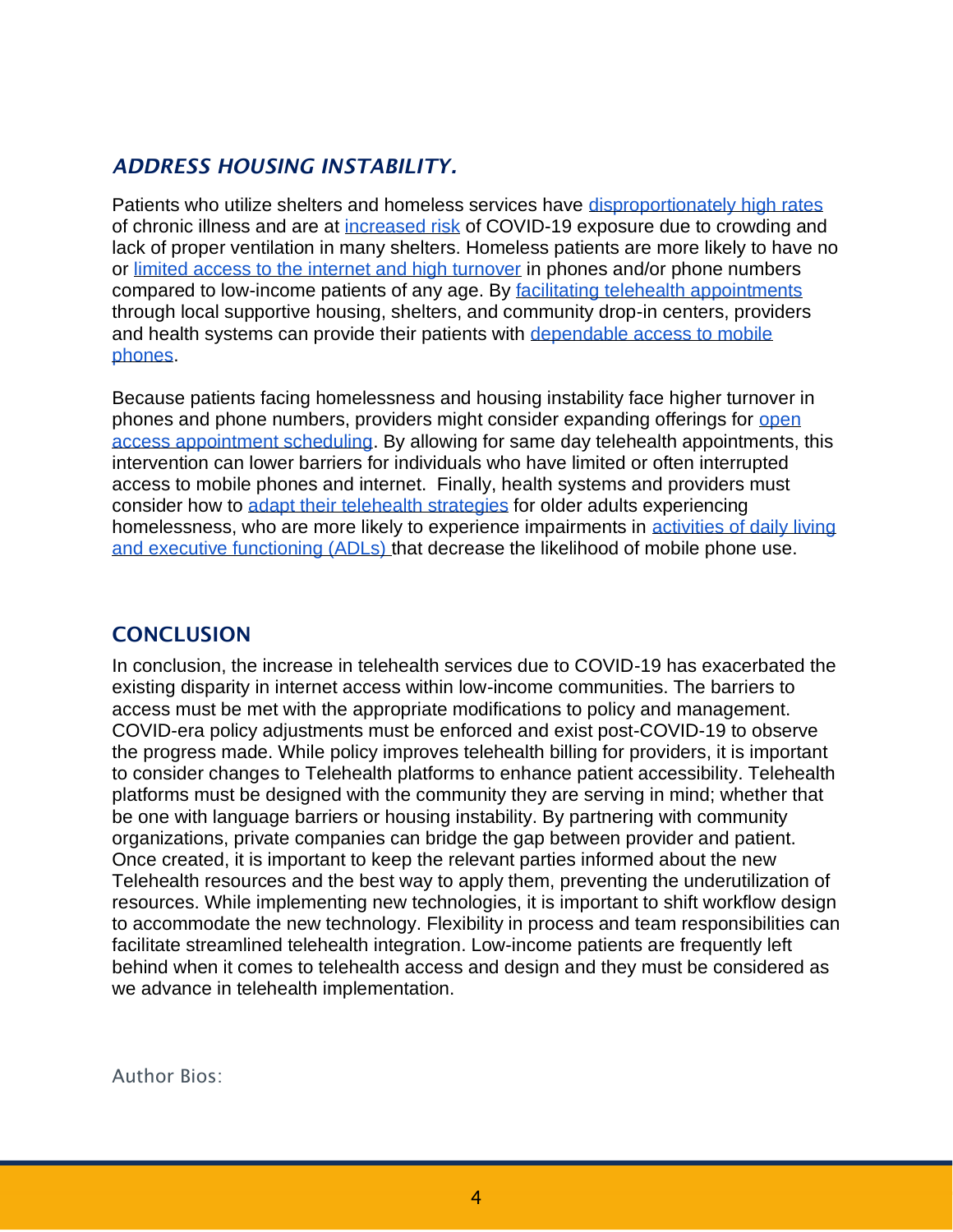## *ADDRESS HOUSING INSTABILITY.*

Patients who utilize shelters and homeless services have [disproportionately high rates](https://doi.org/10.1007/s11524-010-9456-2) of chronic illness and are at [increased risk](https://doi.org/10.1007/s11524-008-9270-2) of COVID-19 exposure due to crowding and lack of proper ventilation in many shelters. Homeless patients are more likely to have no or [limited access to the internet and high turnover](https://mhealth.jmir.org/2018/12/e10049) in phones and/or phone numbers compared to low-income patients of any age. By [facilitating telehealth appointments](https://doi.org/10.1097/ADM.0000000000000682) through local supportive housing, shelters, and community drop-in centers, providers and health systems can provide their patients with [dependable access to mobile](https://doi.org/10.1097/ADM.0000000000000682)  [phones.](https://doi.org/10.1097/ADM.0000000000000682)

Because patients facing homelessness and housing instability face higher turnover in phones and phone numbers, providers might consider expanding offerings for [open](https://mhealth.jmir.org/2018/12/e10049)  [access appointment scheduling.](https://mhealth.jmir.org/2018/12/e10049) By allowing for same day telehealth appointments, this intervention can lower barriers for individuals who have limited or often interrupted access to mobile phones and internet. Finally, health systems and providers must consider how to [adapt their telehealth strategies](https://mhealth.jmir.org/2018/12/e10049) for older adults experiencing homelessness, who are more likely to experience impairments in [activities of daily living](https://www.ncbi.nlm.nih.gov/books/NBK470404/#:~:text=S%2C%20et%20al.-,Introduction,eating%2C%20bathing%2C%20and%20mobility.)  [and executive functioning \(ADLs\) t](https://www.ncbi.nlm.nih.gov/books/NBK470404/#:~:text=S%2C%20et%20al.-,Introduction,eating%2C%20bathing%2C%20and%20mobility.)hat decrease the likelihood of mobile phone use.

#### **CONCLUSION**

In conclusion, the increase in telehealth services due to COVID-19 has exacerbated the existing disparity in internet access within low-income communities. The barriers to access must be met with the appropriate modifications to policy and management. COVID-era policy adjustments must be enforced and exist post-COVID-19 to observe the progress made. While policy improves telehealth billing for providers, it is important to consider changes to Telehealth platforms to enhance patient accessibility. Telehealth platforms must be designed with the community they are serving in mind; whether that be one with language barriers or housing instability. By partnering with community organizations, private companies can bridge the gap between provider and patient. Once created, it is important to keep the relevant parties informed about the new Telehealth resources and the best way to apply them, preventing the underutilization of resources. While implementing new technologies, it is important to shift workflow design to accommodate the new technology. Flexibility in process and team responsibilities can facilitate streamlined telehealth integration. Low-income patients are frequently left behind when it comes to telehealth access and design and they must be considered as we advance in telehealth implementation.

Author Bios: